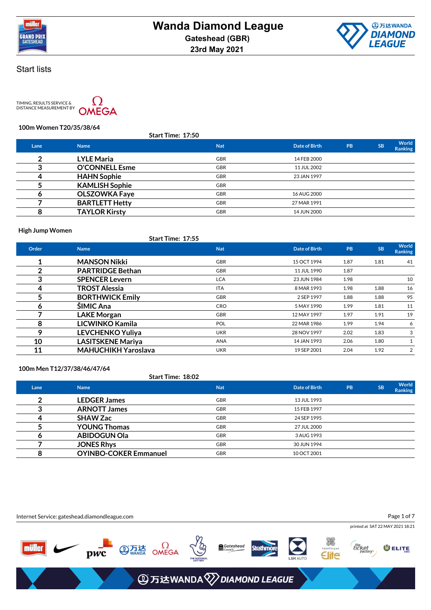



TIMING, RESULTS SERVICE &<br>DISTANCE MEASUREMENT BY



**100m Women T20/35/38/64**

| <b>Start Time: 17:50</b> |                       |            |               |    |           |                  |
|--------------------------|-----------------------|------------|---------------|----|-----------|------------------|
| Lane                     | <b>Name</b>           | <b>Nat</b> | Date of Birth | PB | <b>SB</b> | World<br>Ranking |
| 2                        | <b>LYLE Maria</b>     | <b>GBR</b> | 14 FEB 2000   |    |           |                  |
|                          | <b>O'CONNELL Esme</b> | <b>GBR</b> | 11 JUL 2002   |    |           |                  |
| 4                        | <b>HAHN Sophie</b>    | <b>GBR</b> | 23 JAN 1997   |    |           |                  |
|                          | <b>KAMLISH Sophie</b> | <b>GBR</b> |               |    |           |                  |
| o                        | <b>OLSZOWKA Faye</b>  | <b>GBR</b> | 16 AUG 2000   |    |           |                  |
|                          | <b>BARTLETT Hetty</b> | <b>GBR</b> | 27 MAR 1991   |    |           |                  |
| 8                        | <b>TAYLOR Kirsty</b>  | <b>GBR</b> | 14 JUN 2000   |    |           |                  |
|                          |                       |            |               |    |           |                  |

**High Jump Women**

## **Start Time: 17:55**

| Order | <b>Name</b>                | <b>Nat</b> | Date of Birth | PB   | <b>SB</b> | World<br><b>Ranking</b> |
|-------|----------------------------|------------|---------------|------|-----------|-------------------------|
|       | <b>MANSON Nikki</b>        | <b>GBR</b> | 15 OCT 1994   | 1.87 | 1.81      | 41                      |
| າ     | <b>PARTRIDGE Bethan</b>    | <b>GBR</b> | 11 JUL 1990   | 1.87 |           |                         |
| 3     | <b>SPENCER Levern</b>      | <b>LCA</b> | 23 JUN 1984   | 1.98 |           | 10                      |
| 4     | <b>TROST Alessia</b>       | <b>ITA</b> | 8 MAR 1993    | 1.98 | 1.88      | 16                      |
| 5     | <b>BORTHWICK Emily</b>     | <b>GBR</b> | 2 SEP 1997    | 1.88 | 1.88      | 95                      |
| 6     | ŠIMIC Ana                  | <b>CRO</b> | 5 MAY 1990    | 1.99 | 1.81      | 11                      |
|       | <b>LAKE Morgan</b>         | <b>GBR</b> | 12 MAY 1997   | 1.97 | 1.91      | 19                      |
| 8     | <b>LICWINKO Kamila</b>     | <b>POL</b> | 22 MAR 1986   | 1.99 | 1.94      | 6                       |
| 9     | <b>LEVCHENKO Yuliya</b>    | <b>UKR</b> | 28 NOV 1997   | 2.02 | 1.83      | 3                       |
| 10    | <b>LASITSKENE Mariya</b>   | <b>ANA</b> | 14 JAN 1993   | 2.06 | 1.80      |                         |
| 11    | <b>MAHUCHIKH Yaroslava</b> | <b>UKR</b> | 19 SEP 2001   | 2.04 | 1.92      | 2                       |

**100m Men T12/37/38/46/47/64**

**Start Time: 18:02**

| Lane | <b>Name</b>                  | <b>Nat</b> | Date of Birth | PB | <b>SB</b> | World<br><b>Ranking</b> |
|------|------------------------------|------------|---------------|----|-----------|-------------------------|
|      | <b>LEDGER James</b>          | <b>GBR</b> | 13 JUL 1993   |    |           |                         |
|      | <b>ARNOTT James</b>          | <b>GBR</b> | 15 FEB 1997   |    |           |                         |
|      | <b>SHAW Zac</b>              | <b>GBR</b> | 24 SEP 1995   |    |           |                         |
|      | <b>YOUNG Thomas</b>          | <b>GBR</b> | 27 JUL 2000   |    |           |                         |
| o    | <b>ABIDOGUN Ola</b>          | <b>GBR</b> | 3 AUG 1993    |    |           |                         |
|      | <b>JONES Rhys</b>            | <b>GBR</b> | 30 JUN 1994   |    |           |                         |
|      | <b>OYINBO-COKER Emmanuel</b> | <b>GBR</b> | 10 OCT 2001   |    |           |                         |

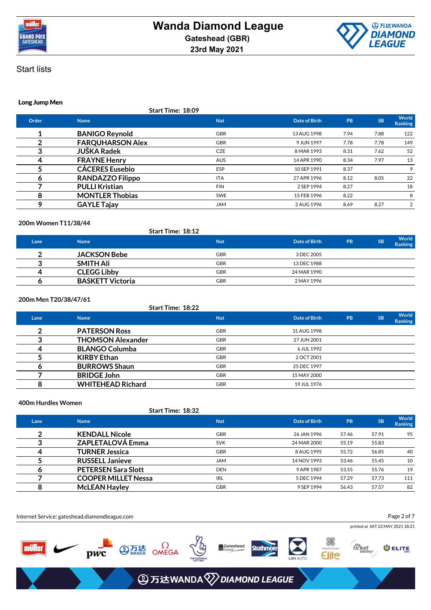



#### **Long Jump Men**

**Start Time: 18:09**

| Order | <b>Name</b>             | <b>Nat</b> | Date of Birth | <b>PB</b> | <b>SB</b> | World<br><b>Ranking</b> |
|-------|-------------------------|------------|---------------|-----------|-----------|-------------------------|
|       | <b>BANIGO Reynold</b>   | <b>GBR</b> | 13 AUG 1998   | 7.94      | 7.88      | 122                     |
|       | <b>FARQUHARSON Alex</b> | <b>GBR</b> | 9 JUN 1997    | 7.78      | 7.78      | 149                     |
|       | <b>JUŠKA Radek</b>      | <b>CZE</b> | 8 MAR 1993    | 8.31      | 7.62      | 52                      |
| 4     | <b>FRAYNE Henry</b>     | <b>AUS</b> | 14 APR 1990   | 8.34      | 7.97      | 13                      |
|       | <b>CÁCERES Eusebio</b>  | <b>ESP</b> | 10 SEP 1991   | 8.37      |           | 9                       |
| O     | <b>RANDAZZO Filippo</b> | <b>ITA</b> | 27 APR 1996   | 8.12      | 8.05      | 22                      |
|       | <b>PULLI Kristian</b>   | <b>FIN</b> | 2 SEP 1994    | 8.27      |           | 18                      |
| 8     | <b>MONTLER Thobias</b>  | <b>SWE</b> | 15 FEB 1996   | 8.22      |           | 8                       |
| Ω     | <b>GAYLE Tajay</b>      | <b>JAM</b> | 2 AUG 1996    | 8.69      | 8.27      | 2                       |
|       |                         |            |               |           |           |                         |

#### **200m Women T11/38/44**

|      |                         | <b>Start Time: 18:12</b> |               |    |           |                         |
|------|-------------------------|--------------------------|---------------|----|-----------|-------------------------|
| Lane | <b>Name</b>             | <b>Nat</b>               | Date of Birth | PB | <b>SB</b> | World<br><b>Ranking</b> |
|      | <b>JACKSON Bebe</b>     | <b>GBR</b>               | 3 DEC 2005    |    |           |                         |
|      | <b>SMITH Ali</b>        | <b>GBR</b>               | 13 DEC 1988   |    |           |                         |
|      | <b>CLEGG Libby</b>      | <b>GBR</b>               | 24 MAR 1990   |    |           |                         |
|      | <b>BASKETT Victoria</b> | <b>GBR</b>               | 2 MAY 1996    |    |           |                         |

## **200m Men T20/38/47/61**

|             | <b>Start Time: 18:22</b> |            |               |           |           |                  |
|-------------|--------------------------|------------|---------------|-----------|-----------|------------------|
| Lane        | <b>Name</b>              | <b>Nat</b> | Date of Birth | <b>PB</b> | <b>SB</b> | World<br>Ranking |
| $\mathbf 2$ | <b>PATERSON Ross</b>     | <b>GBR</b> | 31 AUG 1998   |           |           |                  |
| 3           | <b>THOMSON Alexander</b> | <b>GBR</b> | 27 JUN 2001   |           |           |                  |
| 4           | <b>BLANGO Columba</b>    | <b>GBR</b> | 6 JUL 1992    |           |           |                  |
|             | <b>KIRBY Ethan</b>       | <b>GBR</b> | 2 OCT 2001    |           |           |                  |
| O           | <b>BURROWS Shaun</b>     | <b>GBR</b> | 25 DEC 1997   |           |           |                  |
|             | <b>BRIDGE John</b>       | <b>GBR</b> | 15 MAY 2000   |           |           |                  |
| 8           | <b>WHITEHEAD Richard</b> | <b>GBR</b> | 19 JUL 1976   |           |           |                  |

#### **400m Hurdles Women**

#### **Start Time: 18:32**

| Lane | <b>Name</b>                | <b>Nat</b> | Date of Birth | <b>PB</b> | <b>SB</b> | World<br><b>Ranking</b> |
|------|----------------------------|------------|---------------|-----------|-----------|-------------------------|
| ◠    | <b>KENDALL Nicole</b>      | <b>GBR</b> | 26 JAN 1996   | 57.46     | 57.91     | 95                      |
|      | <b>ZAPLETALOVÁ Emma</b>    | <b>SVK</b> | 24 MAR 2000   | 55.19     | 55.83     |                         |
| 4    | <b>TURNER Jessica</b>      | <b>GBR</b> | 8 AUG 1995    | 55.72     | 56.85     | 40                      |
|      | <b>RUSSELL Janieve</b>     | <b>JAM</b> | 14 NOV 1993   | 53.46     | 55.45     | 10                      |
|      | <b>PETERSEN Sara Slott</b> | <b>DEN</b> | 9 APR 1987    | 53.55     | 55.76     | 19                      |
|      | <b>COOPER MILLET Nessa</b> | IRL        | 5 DEC 1994    | 57.29     | 57.73     | 111                     |
| 8    | <b>McLEAN Hayley</b>       | <b>GBR</b> | 9 SEP 1994    | 56.43     | 57.57     | 82                      |

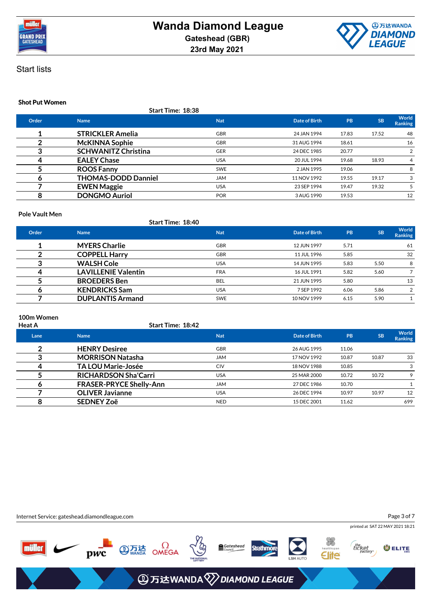



## **Shot Put Women**

**Start Time: 18:38**

| Order | <b>Name</b>                | <b>Nat</b> | <b>Date of Birth</b> | PB    | <b>SB</b> | World<br><b>Ranking</b> |
|-------|----------------------------|------------|----------------------|-------|-----------|-------------------------|
|       | <b>STRICKLER Amelia</b>    | <b>GBR</b> | 24 JAN 1994          | 17.83 | 17.52     | 48                      |
|       | <b>McKINNA Sophie</b>      | <b>GBR</b> | 31 AUG 1994          | 18.61 |           | 16                      |
|       | <b>SCHWANITZ Christina</b> | <b>GER</b> | 24 DEC 1985          | 20.77 |           | 2                       |
|       | <b>EALEY Chase</b>         | <b>USA</b> | 20 JUL 1994          | 19.68 | 18.93     | 4                       |
|       | <b>ROOS Fanny</b>          | <b>SWE</b> | 2 JAN 1995           | 19.06 |           | 8                       |
| o     | <b>THOMAS-DODD Danniel</b> | <b>JAM</b> | 11 NOV 1992          | 19.55 | 19.17     | 3                       |
|       | <b>EWEN Maggie</b>         | <b>USA</b> | 23 SEP 1994          | 19.47 | 19.32     |                         |
|       | <b>DONGMO Auriol</b>       | <b>POR</b> | 3 AUG 1990           | 19.53 |           | 12                      |
|       |                            |            |                      |       |           |                         |

#### **Pole Vault Men**

|       | <b>Start Time: 18:40</b>   |            |               |           |           |                  |
|-------|----------------------------|------------|---------------|-----------|-----------|------------------|
| Order | <b>Name</b>                | <b>Nat</b> | Date of Birth | <b>PB</b> | <b>SB</b> | World<br>Ranking |
|       | <b>MYERS Charlie</b>       | <b>GBR</b> | 12 JUN 1997   | 5.71      |           | 61               |
|       | <b>COPPELL Harry</b>       | <b>GBR</b> | 11 JUL 1996   | 5.85      |           | 32               |
|       | <b>WALSH Cole</b>          | <b>USA</b> | 14 JUN 1995   | 5.83      | 5.50      | 8                |
|       | <b>LAVILLENIE Valentin</b> | <b>FRA</b> | 16 JUL 1991   | 5.82      | 5.60      |                  |
|       | <b>BROEDERS</b> Ben        | BEL        | 21 JUN 1995   | 5.80      |           | 13               |
|       | <b>KENDRICKS Sam</b>       | <b>USA</b> | 7 SEP 1992    | 6.06      | 5.86      | 2                |
|       | <b>DUPLANTIS Armand</b>    | <b>SWE</b> | 10 NOV 1999   | 6.15      | 5.90      |                  |

# **100m Women**

| Heat A | Start Time: 18:42              |            |               |           |           |                         |
|--------|--------------------------------|------------|---------------|-----------|-----------|-------------------------|
| Lane   | <b>Name</b>                    | <b>Nat</b> | Date of Birth | <b>PB</b> | <b>SB</b> | <b>World</b><br>Ranking |
| ◠      | <b>HENRY Desiree</b>           | <b>GBR</b> | 26 AUG 1995   | 11.06     |           |                         |
|        | <b>MORRISON Natasha</b>        | <b>JAM</b> | 17 NOV 1992   | 10.87     | 10.87     | 33                      |
| 4      | <b>TA LOU Marie-Josée</b>      | <b>CIV</b> | 18 NOV 1988   | 10.85     |           | 3                       |
|        | <b>RICHARDSON Sha'Carri</b>    | <b>USA</b> | 25 MAR 2000   | 10.72     | 10.72     | 9                       |
| O      | <b>FRASER-PRYCE Shelly-Ann</b> | <b>JAM</b> | 27 DEC 1986   | 10.70     |           |                         |
|        | <b>OLIVER Javianne</b>         | <b>USA</b> | 26 DEC 1994   | 10.97     | 10.97     | 12                      |
| 8      | <b>SEDNEY Zoë</b>              | <b>NED</b> | 15 DEC 2001   | 11.62     |           | 699                     |

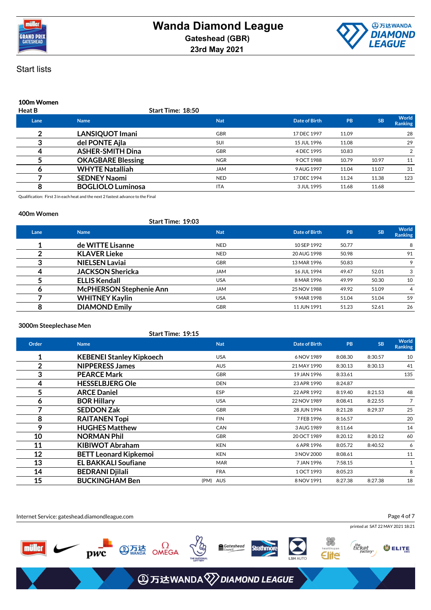



## **100m Women**

| <b>Heat B</b> | <b>Start Time: 18:50</b> |            |               |       |           |                         |
|---------------|--------------------------|------------|---------------|-------|-----------|-------------------------|
| Lane          | <b>Name</b>              | <b>Nat</b> | Date of Birth | PB    | <b>SB</b> | World<br><b>Ranking</b> |
| າ             | <b>LANSIQUOT Imani</b>   | <b>GBR</b> | 17 DEC 1997   | 11.09 |           | 28                      |
|               | del PONTE Ajla           | <b>SUI</b> | 15 JUL 1996   | 11.08 |           | 29                      |
|               | <b>ASHER-SMITH Dina</b>  | <b>GBR</b> | 4 DEC 1995    | 10.83 |           |                         |
|               | <b>OKAGBARE Blessing</b> | <b>NGR</b> | 9 OCT 1988    | 10.79 | 10.97     | 11                      |
| o             | <b>WHYTE Natalliah</b>   | <b>JAM</b> | 9 AUG 1997    | 11.04 | 11.07     | 31                      |
|               | <b>SEDNEY Naomi</b>      | <b>NED</b> | 17 DEC 1994   | 11.24 | 11.38     | 123                     |
|               | <b>BOGLIOLO Luminosa</b> | <b>ITA</b> | 3 JUL 1995    | 11.68 | 11.68     |                         |
|               |                          |            |               |       |           |                         |

Qualification: First 3 in each heat and the next 2 fastest advance to the Final

#### **400m Women**

#### **Start Time: 19:03**

| Lane | <b>Name</b>                    | <b>Nat</b> | Date of Birth | <b>PB</b> | <b>SB</b> | World<br>Ranking |
|------|--------------------------------|------------|---------------|-----------|-----------|------------------|
|      | de WITTE Lisanne               | <b>NED</b> | 10 SEP 1992   | 50.77     |           | 8                |
|      | <b>KLAVER Lieke</b>            | <b>NED</b> | 20 AUG 1998   | 50.98     |           | 91               |
|      | <b>NIELSEN Laviai</b>          | <b>GBR</b> | 13 MAR 1996   | 50.83     |           | 9                |
|      | <b>JACKSON Shericka</b>        | <b>JAM</b> | 16 JUL 1994   | 49.47     | 52.01     | 3                |
|      | <b>ELLIS Kendall</b>           | <b>USA</b> | 8 MAR 1996    | 49.99     | 50.30     | 10               |
|      | <b>McPHERSON Stephenie Ann</b> | <b>JAM</b> | 25 NOV 1988   | 49.92     | 51.09     | 4                |
|      | <b>WHITNEY Kaylin</b>          | <b>USA</b> | 9 MAR 1998    | 51.04     | 51.04     | 59               |
|      | <b>DIAMOND Emily</b>           | <b>GBR</b> | 11 JUN 1991   | 51.23     | 52.61     | 26               |

#### **3000m Steeplechase Men**

|                | Start Time: 19:15               |            |                      |           |           |                         |
|----------------|---------------------------------|------------|----------------------|-----------|-----------|-------------------------|
| Order          | <b>Name</b>                     | <b>Nat</b> | <b>Date of Birth</b> | <b>PB</b> | <b>SB</b> | World<br><b>Ranking</b> |
| 1              | <b>KEBENEI Stanley Kipkoech</b> | <b>USA</b> | 6 NOV 1989           | 8:08.30   | 8:30.57   | 10                      |
| $\overline{2}$ | <b>NIPPERESS James</b>          | <b>AUS</b> | 21 MAY 1990          | 8:30.13   | 8:30.13   | 41                      |
| 3              | <b>PEARCE Mark</b>              | <b>GBR</b> | 19 JAN 1996          | 8:33.61   |           | 135                     |
| 4              | <b>HESSELBJERG Ole</b>          | <b>DEN</b> | 23 APR 1990          | 8:24.87   |           |                         |
| 5              | <b>ARCE Daniel</b>              | <b>ESP</b> | 22 APR 1992          | 8:19.40   | 8:21.53   | 48                      |
| 6              | <b>BOR Hillary</b>              | <b>USA</b> | 22 NOV 1989          | 8:08.41   | 8:22.55   | $\overline{7}$          |
| 7              | <b>SEDDON Zak</b>               | <b>GBR</b> | 28 JUN 1994          | 8:21.28   | 8:29.37   | 25                      |
| 8              | <b>RAITANEN Topi</b>            | <b>FIN</b> | 7 FEB 1996           | 8:16.57   |           | 20                      |
| 9              | <b>HUGHES Matthew</b>           | <b>CAN</b> | 3 AUG 1989           | 8:11.64   |           | 14                      |
| 10             | <b>NORMAN Phil</b>              | <b>GBR</b> | 20 OCT 1989          | 8:20.12   | 8:20.12   | 60                      |
| 11             | <b>KIBIWOT Abraham</b>          | <b>KEN</b> | 6 APR 1996           | 8:05.72   | 8:40.52   | 6                       |
| 12             | <b>BETT Leonard Kipkemoi</b>    | <b>KEN</b> | 3 NOV 2000           | 8:08.61   |           | 11                      |
| 13             | <b>EL BAKKALI Soufiane</b>      | <b>MAR</b> | 7 JAN 1996           | 7:58.15   |           | $\mathbf{1}$            |
| 14             | <b>BEDRANI Djilali</b>          | <b>FRA</b> | 1 OCT 1993           | 8:05.23   |           | 8                       |
| 15             | <b>BUCKINGHAM Ben</b>           | (PM) AUS   | 8 NOV 1991           | 8:27.38   | 8:27.38   | 18                      |

Internet Service: gateshead.diamondleague.com Page 4 of 7printed at SAT 22 MAY 2021 18:21 **PWC EXAMPLE ONEGA** the<br>ticket<br>factory\* Gateshead **Strathmore**  $m$ iller O ELITE Elite **④万达WANDA** 2DIAMOND LEAGUE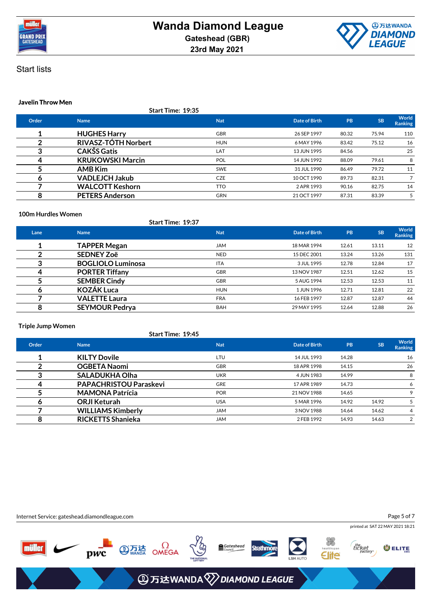



## **Javelin Throw Men**

**Start Time: 19:35**

| Order | <b>Name</b>             | <b>Nat</b> | Date of Birth | PB    | <b>SB</b> | World<br><b>Ranking</b> |
|-------|-------------------------|------------|---------------|-------|-----------|-------------------------|
|       | <b>HUGHES Harry</b>     | <b>GBR</b> | 26 SEP 1997   | 80.32 | 75.94     | 110                     |
|       | RIVASZ-TÓTH Norbert     | <b>HUN</b> | 6 MAY 1996    | 83.42 | 75.12     | 16                      |
|       | <b>CAKŠS Gatis</b>      | LAT        | 13 JUN 1995   | 84.56 |           | 25                      |
|       | <b>KRUKOWSKI Marcin</b> | <b>POL</b> | 14 JUN 1992   | 88.09 | 79.61     | 8                       |
|       | <b>AMB Kim</b>          | <b>SWE</b> | 31 JUL 1990   | 86.49 | 79.72     | 11                      |
|       | <b>VADLEJCH Jakub</b>   | <b>CZE</b> | 10 OCT 1990   | 89.73 | 82.31     |                         |
|       | <b>WALCOTT Keshorn</b>  | <b>TTO</b> | 2 APR 1993    | 90.16 | 82.75     | 14                      |
| 8     | <b>PETERS Anderson</b>  | <b>GRN</b> | 21 OCT 1997   | 87.31 | 83.39     | 5                       |
|       |                         |            |               |       |           |                         |

#### **100m Hurdles Women**

|      | <b>Start Time: 19:37</b> |            |               |           |           |                  |
|------|--------------------------|------------|---------------|-----------|-----------|------------------|
| Lane | <b>Name</b>              | <b>Nat</b> | Date of Birth | <b>PB</b> | <b>SB</b> | World<br>Ranking |
|      | <b>TAPPER Megan</b>      | <b>JAM</b> | 18 MAR 1994   | 12.61     | 13.11     | 12               |
|      | <b>SEDNEY Zoë</b>        | <b>NED</b> | 15 DEC 2001   | 13.24     | 13.26     | 131              |
| 3    | <b>BOGLIOLO Luminosa</b> | <b>ITA</b> | 3 JUL 1995    | 12.78     | 12.84     | 17               |
| 4    | <b>PORTER Tiffany</b>    | <b>GBR</b> | 13 NOV 1987   | 12.51     | 12.62     | 15               |
| 5    | <b>SEMBER Cindy</b>      | <b>GBR</b> | 5 AUG 1994    | 12.53     | 12.53     | 11               |
| o    | <b>KOZÁK Luca</b>        | <b>HUN</b> | 1 JUN 1996    | 12.71     | 12.81     | 22               |
|      | <b>VALETTE Laura</b>     | <b>FRA</b> | 16 FEB 1997   | 12.87     | 12.87     | 44               |
| 8    | <b>SEYMOUR Pedrya</b>    | <b>BAH</b> | 29 MAY 1995   | 12.64     | 12.88     | 26               |

#### **Triple Jump Women**

|       | Start Time: 19:45             |            |               |       |           |                  |
|-------|-------------------------------|------------|---------------|-------|-----------|------------------|
| Order | <b>Name</b>                   | <b>Nat</b> | Date of Birth | PB    | <b>SB</b> | World<br>Ranking |
|       | <b>KILTY Dovile</b>           | LTU        | 14 JUL 1993   | 14.28 |           | 16               |
|       | <b>OGBETA Naomi</b>           | <b>GBR</b> | 18 APR 1998   | 14.15 |           | 26               |
|       | <b>SALADUKHA Olha</b>         | <b>UKR</b> | 4 JUN 1983    | 14.99 |           | 8                |
| 4     | <b>PAPACHRISTOU Paraskevi</b> | <b>GRE</b> | 17 APR 1989   | 14.73 |           | 6                |
|       | <b>MAMONA Patrícia</b>        | <b>POR</b> | 21 NOV 1988   | 14.65 |           | 9                |
| O     | <b>ORJI Keturah</b>           | <b>USA</b> | 5 MAR 1996    | 14.92 | 14.92     | 5                |
|       | <b>WILLIAMS Kimberly</b>      | <b>JAM</b> | 3 NOV 1988    | 14.64 | 14.62     | 4                |
| 8     | <b>RICKETTS Shanieka</b>      | <b>JAM</b> | 2 FEB 1992    | 14.93 | 14.63     | 2                |
|       |                               |            |               |       |           |                  |

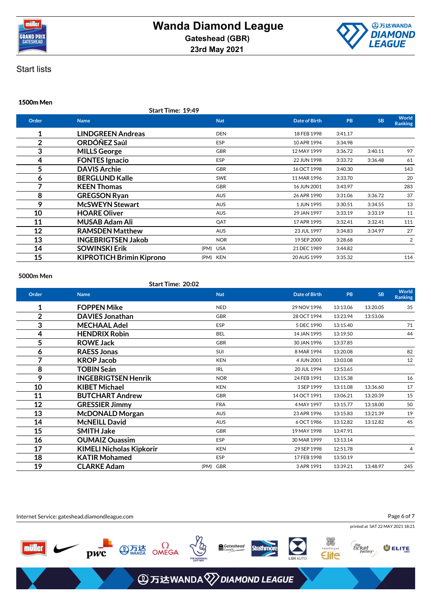



## **1500m Men**

**Start Time: 19:49**

| Order          | <b>Name</b>                     | <b>Nat</b> | <b>Date of Birth</b> | PB      | <b>SB</b> | World<br><b>Ranking</b> |
|----------------|---------------------------------|------------|----------------------|---------|-----------|-------------------------|
| 1              | <b>LINDGREEN Andreas</b>        | <b>DEN</b> | 18 FEB 1998          | 3:41.17 |           |                         |
| $\overline{2}$ | ORDÓÑEZ Saúl                    | <b>ESP</b> | 10 APR 1994          | 3:34.98 |           |                         |
| 3              | <b>MILLS George</b>             | <b>GBR</b> | 12 MAY 1999          | 3:36.72 | 3:40.11   | 97                      |
| 4              | <b>FONTES Ignacio</b>           | <b>ESP</b> | 22 JUN 1998          | 3:33.72 | 3:36.48   | 61                      |
| 5              | <b>DAVIS Archie</b>             | <b>GBR</b> | 16 OCT 1998          | 3:40.30 |           | 143                     |
| 6              | <b>BERGLUND Kalle</b>           | <b>SWE</b> | 11 MAR 1996          | 3:33.70 |           | 20                      |
| 7              | <b>KEEN Thomas</b>              | <b>GBR</b> | 16 JUN 2001          | 3:43.97 |           | 283                     |
| 8              | <b>GREGSON Ryan</b>             | <b>AUS</b> | 26 APR 1990          | 3:31.06 | 3:36.72   | 37                      |
| 9              | <b>McSWEYN Stewart</b>          | <b>AUS</b> | 1 JUN 1995           | 3:30.51 | 3:34.55   | 13                      |
| 10             | <b>HOARE Oliver</b>             | <b>AUS</b> | 29 JAN 1997          | 3:33.19 | 3:33.19   | 11                      |
| 11             | <b>MUSAB Adam Ali</b>           | QAT        | 17 APR 1995          | 3:32.41 | 3:32.41   | 111                     |
| 12             | <b>RAMSDEN Matthew</b>          | <b>AUS</b> | 23 JUL 1997          | 3:34.83 | 3:34.97   | 27                      |
| 13             | <b>INGEBRIGTSEN Jakob</b>       | <b>NOR</b> | 19 SEP 2000          | 3:28.68 |           | 2                       |
| 14             | <b>SOWINSKI Erik</b>            | (PM) USA   | 21 DEC 1989          | 3:44.82 |           |                         |
| 15             | <b>KIPROTICH Brimin Kiprono</b> | (PM) KEN   | 20 AUG 1999          | 3:35.32 |           | 114                     |
|                |                                 |            |                      |         |           |                         |

#### **5000m Men**

# **Start Time: 20:02**

| Order          | <b>Name</b>                     | <b>Nat</b> | <b>Date of Birth</b> | PB       | <b>SB</b> | <b>World</b><br><b>Ranking</b> |
|----------------|---------------------------------|------------|----------------------|----------|-----------|--------------------------------|
| 1              | <b>FOPPEN Mike</b>              | <b>NED</b> | 29 NOV 1996          | 13:13.06 | 13:20.05  | 35                             |
| $\overline{2}$ | <b>DAVIES Jonathan</b>          | <b>GBR</b> | 28 OCT 1994          | 13:23.94 | 13:53.06  |                                |
| 3              | <b>MECHAAL Adel</b>             | ESP        | 5 DEC 1990           | 13:15.40 |           | 71                             |
| 4              | <b>HENDRIX Robin</b>            | <b>BEL</b> | 14 JAN 1995          | 13:19.50 |           | 44                             |
| 5              | <b>ROWE Jack</b>                | <b>GBR</b> | 30 JAN 1996          | 13:37.85 |           |                                |
| 6              | <b>RAESS Jonas</b>              | <b>SUI</b> | 8 MAR 1994           | 13:20.08 |           | 82                             |
| 7              | <b>KROP Jacob</b>               | <b>KEN</b> | 4 JUN 2001           | 13:03.08 |           | 12                             |
| 8              | <b>TOBIN Seán</b>               | <b>IRL</b> | 20 JUL 1994          | 13:53.65 |           |                                |
| 9              | <b>INGEBRIGTSEN Henrik</b>      | <b>NOR</b> | 24 FEB 1991          | 13:15.38 |           | 16                             |
| 10             | <b>KIBET Michael</b>            | <b>KEN</b> | 3 SEP 1999           | 13:11.08 | 13:36.60  | 17                             |
| 11             | <b>BUTCHART Andrew</b>          | <b>GBR</b> | 14 OCT 1991          | 13:06.21 | 13:20.39  | 15                             |
| 12             | <b>GRESSIER Jimmy</b>           | <b>FRA</b> | 4 MAY 1997           | 13:15.77 | 13:18.00  | 50                             |
| 13             | <b>McDONALD Morgan</b>          | <b>AUS</b> | 23 APR 1996          | 13:15.83 | 13:21.39  | 19                             |
| 14             | <b>McNEILL David</b>            | <b>AUS</b> | 6 OCT 1986           | 13:12.82 | 13:12.82  | 45                             |
| 15             | <b>SMITH Jake</b>               | <b>GBR</b> | 19 MAY 1998          | 13:47.91 |           |                                |
| 16             | <b>OUMAIZ Ouassim</b>           | <b>ESP</b> | 30 MAR 1999          | 13:13.14 |           |                                |
| 17             | <b>KIMELI Nicholas Kipkorir</b> | <b>KEN</b> | 29 SEP 1998          | 12:51.78 |           | 4                              |
| 18             | <b>KATIR Mohamed</b>            | ESP        | 17 FEB 1998          | 13:50.19 |           |                                |
| 19             | <b>CLARKE Adam</b>              | (PM) GBR   | 3 APR 1991           | 13:39.21 | 13:48.97  | 245                            |